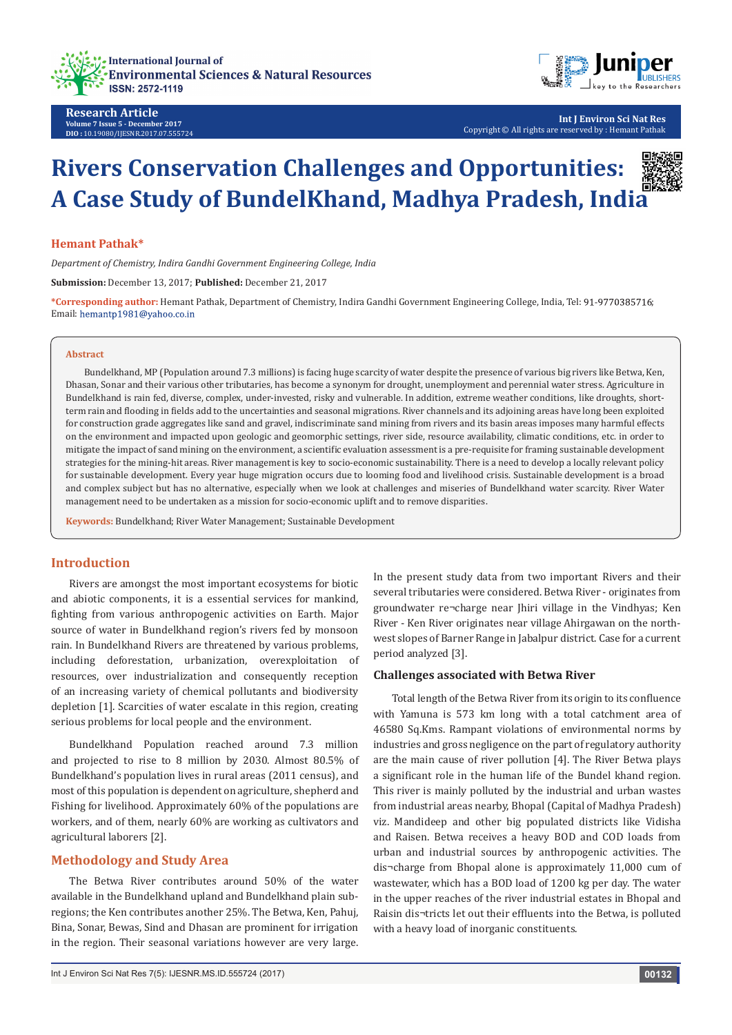



**Int J Environ Sci Nat Res** Copyright © All rights are reserved by : Hemant Pathak

# **Rivers Conservation Challenges and Opportunities: A Case Study of BundelKhand, Madhya Pradesh, India**

#### **Hemant Pathak\***

*Department of Chemistry, Indira Gandhi Government Engineering College, India*

**Submission:** December 13, 2017; **Published:** December 21, 2017

**\*Corresponding author:** Hemant Pathak, Department of Chemistry, Indira Gandhi Government Engineering College, India, Tel: ; Email: hemantp1981@yahoo.co.in

#### **Abstract**

Bundelkhand, MP (Population around 7.3 millions) is facing huge scarcity of water despite the presence of various big rivers like Betwa, Ken, Dhasan, Sonar and their various other tributaries, has become a synonym for drought, unemployment and perennial water stress. Agriculture in Bundelkhand is rain fed, diverse, complex, under-invested, risky and vulnerable. In addition, extreme weather conditions, like droughts, shortterm rain and flooding in fields add to the uncertainties and seasonal migrations. River channels and its adjoining areas have long been exploited for construction grade aggregates like sand and gravel, indiscriminate sand mining from rivers and its basin areas imposes many harmful effects on the environment and impacted upon geologic and geomorphic settings, river side, resource availability, climatic conditions, etc. in order to mitigate the impact of sand mining on the environment, a scientific evaluation assessment is a pre-requisite for framing sustainable development strategies for the mining-hit areas. River management is key to socio-economic sustainability. There is a need to develop a locally relevant policy for sustainable development. Every year huge migration occurs due to looming food and livelihood crisis. Sustainable development is a broad and complex subject but has no alternative, especially when we look at challenges and miseries of Bundelkhand water scarcity. River Water management need to be undertaken as a mission for socio-economic uplift and to remove disparities.

**Keywords:** Bundelkhand; River Water Management; Sustainable Development

# **Introduction**

Rivers are amongst the most important ecosystems for biotic and abiotic components, it is a essential services for mankind, fighting from various anthropogenic activities on Earth. Major source of water in Bundelkhand region's rivers fed by monsoon rain. In Bundelkhand Rivers are threatened by various problems, including deforestation, urbanization, overexploitation of resources, over industrialization and consequently reception of an increasing variety of chemical pollutants and biodiversity depletion [1]. Scarcities of water escalate in this region, creating serious problems for local people and the environment.

Bundelkhand Population reached around 7.3 million and projected to rise to 8 million by 2030. Almost 80.5% of Bundelkhand's population lives in rural areas (2011 census), and most of this population is dependent on agriculture, shepherd and Fishing for livelihood. Approximately 60% of the populations are workers, and of them, nearly 60% are working as cultivators and agricultural laborers [2].

## **Methodology and Study Area**

The Betwa River contributes around 50% of the water available in the Bundelkhand upland and Bundelkhand plain subregions; the Ken contributes another 25%. The Betwa, Ken, Pahuj, Bina, Sonar, Bewas, Sind and Dhasan are prominent for irrigation in the region. Their seasonal variations however are very large.

In the present study data from two important Rivers and their several tributaries were considered. Betwa River - originates from groundwater re¬charge near Jhiri village in the Vindhyas; Ken River - Ken River originates near village Ahirgawan on the northwest slopes of Barner Range in Jabalpur district. Case for a current period analyzed [3].

#### **Challenges associated with Betwa River**

Total length of the Betwa River from its origin to its confluence with Yamuna is 573 km long with a total catchment area of 46580 Sq.Kms. Rampant violations of environmental norms by industries and gross negligence on the part of regulatory authority are the main cause of river pollution [4]. The River Betwa plays a significant role in the human life of the Bundel khand region. This river is mainly polluted by the industrial and urban wastes from industrial areas nearby, Bhopal (Capital of Madhya Pradesh) viz. Mandideep and other big populated districts like Vidisha and Raisen. Betwa receives a heavy BOD and COD loads from urban and industrial sources by anthropogenic activities. The dis¬charge from Bhopal alone is approximately 11,000 cum of wastewater, which has a BOD load of 1200 kg per day. The water in the upper reaches of the river industrial estates in Bhopal and Raisin dis¬tricts let out their effluents into the Betwa, is polluted with a heavy load of inorganic constituents.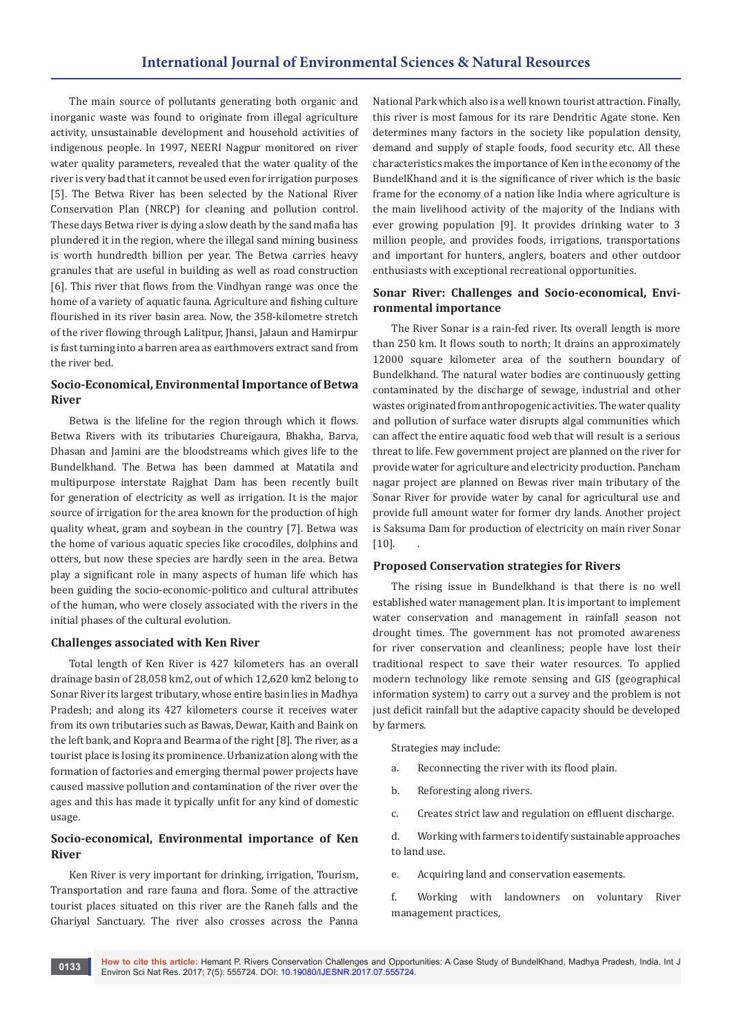The main source of pollutants generating both organic and inorganic waste was found to originate from illegal agriculture activity, unsustainable development and household activities of indigenous people. In 1997, NEERI Nagpur monitored on river water quality parameters, revealed that the water quality of the river is very bad that it cannot be used even for irrigation purposes [5]. The Betwa River has been selected by the National River Conservation Plan (NRCP) for cleaning and pollution control. These days Betwa river is dying a slow death by the sand mafia has plundered it in the region, where the illegal sand mining business is worth hundredth billion per year. The Betwa carries heavy granules that are useful in building as well as road construction [6]. This river that flows from the Vindhyan range was once the home of a variety of aquatic fauna. Agriculture and fishing culture flourished in its river basin area. Now, the 358-kilometre stretch of the river flowing through Lalitpur, Jhansi, Jalaun and Hamirpur is fast turning into a barren area as earthmovers extract sand from the river bed.

# **Socio-Economical, Environmental Importance of Betwa River**

Betwa is the lifeline for the region through which it flows. Betwa Rivers with its tributaries Chureigaura, Bhakha, Barva, Dhasan and Jamini are the bloodstreams which gives life to the Bundelkhand. The Betwa has been dammed at Matatila and multipurpose interstate Rajghat Dam has been recently built for generation of electricity as well as irrigation. It is the major source of irrigation for the area known for the production of high quality wheat, gram and soybean in the country [7]. Betwa was the home of various aquatic species like crocodiles, dolphins and otters, but now these species are hardly seen in the area. Betwa play a significant role in many aspects of human life which has been guiding the socio-economic-politico and cultural attributes of the human, who were closely associated with the rivers in the initial phases of the cultural evolution.

#### **Challenges associated with Ken River**

Total length of Ken River is 427 kilometers has an overall drainage basin of 28,058 km2, out of which 12,620 km2 belong to Sonar River its largest tributary, whose entire basin lies in Madhya Pradesh; and along its 427 kilometers course it receives water from its own tributaries such as Bawas, Dewar, Kaith and Baink on the left bank, and Kopra and Bearma of the right [8]. The river, as a tourist place is losing its prominence. Urbanization along with the formation of factories and emerging thermal power projects have caused massive pollution and contamination of the river over the ages and this has made it typically unfit for any kind of domestic usage.

# **Socio-economical, Environmental importance of Ken River**

Ken River is very important for drinking, irrigation, Tourism, Transportation and rare fauna and flora. Some of the attractive tourist places situated on this river are the Raneh falls and the Ghariyal Sanctuary. The river also crosses across the Panna National Park which also is a well known tourist attraction. Finally, this river is most famous for its rare Dendritic Agate stone. Ken determines many factors in the society like population density, demand and supply of staple foods, food security etc. All these characteristics makes the importance of Ken in the economy of the BundelKhand and it is the significance of river which is the basic frame for the economy of a nation like India where agriculture is the main livelihood activity of the majority of the Indians with ever growing population [9]. It provides drinking water to 3 million people, and provides foods, irrigations, transportations and important for hunters, anglers, boaters and other outdoor enthusiasts with exceptional recreational opportunities.

## **Sonar River: Challenges and Socio-economical, Environmental importance**

The River Sonar is a rain-fed river. Its overall length is more than 250 km. It flows south to north; It drains an approximately 12000 square kilometer area of the southern boundary of Bundelkhand. The natural water bodies are continuously getting contaminated by the discharge of sewage, industrial and other wastes originated from anthropogenic activities. The water quality and pollution of surface water disrupts algal communities which can affect the entire aquatic food web that will result is a serious threat to life. Few government project are planned on the river for provide water for agriculture and electricity production. Pancham nagar project are planned on Bewas river main tributary of the Sonar River for provide water by canal for agricultural use and provide full amount water for former dry lands. Another project is Saksuma Dam for production of electricity on main river Sonar  $[10]$ .

#### **Proposed Conservation strategies for Rivers**

The rising issue in Bundelkhand is that there is no well established water management plan. It is important to implement water conservation and management in rainfall season not drought times. The government has not promoted awareness for river conservation and cleanliness; people have lost their traditional respect to save their water resources. To applied modern technology like remote sensing and GIS (geographical information system) to carry out a survey and the problem is not just deficit rainfall but the adaptive capacity should be developed by farmers.

Strategies may include:

- a. Reconnecting the river with its flood plain.
- b. Reforesting along rivers.
- c. Creates strict law and regulation on effluent discharge.

d. Working with farmers to identify sustainable approaches to land use.

e. Acquiring land and conservation easements.

f. Working with landowners on voluntary River management practices,